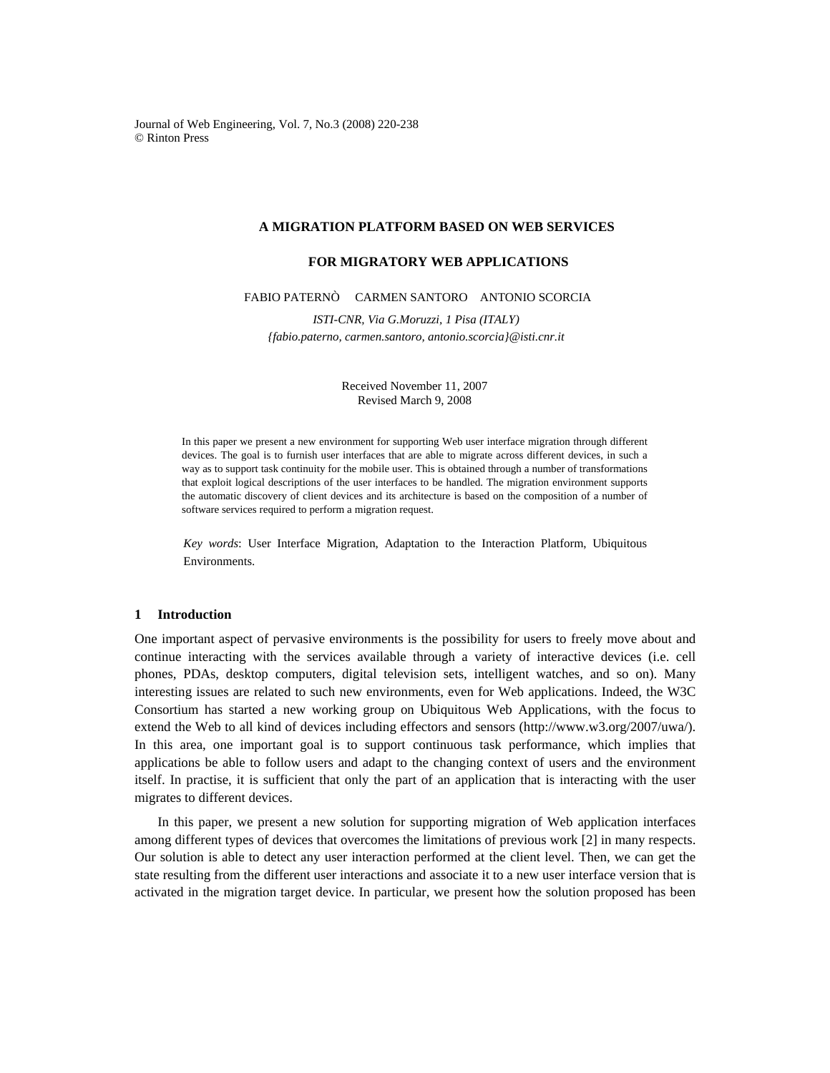Journal of Web Engineering, Vol. 7, No.3 (2008) 220-238 © Rinton Press

## **A MIGRATION PLATFORM BASED ON WEB SERVICES**

# **FOR MIGRATORY WEB APPLICATIONS**

## FABIO PATERNÒ CARMEN SANTORO ANTONIO SCORCIA

 *ISTI-CNR, Via G.Moruzzi, 1 Pisa (ITALY) {fabio.paterno, carmen.santoro, antonio.scorcia}@isti.cnr.it* 

> Received November 11, 2007 Revised March 9, 2008

In this paper we present a new environment for supporting Web user interface migration through different devices. The goal is to furnish user interfaces that are able to migrate across different devices, in such a way as to support task continuity for the mobile user. This is obtained through a number of transformations that exploit logical descriptions of the user interfaces to be handled. The migration environment supports the automatic discovery of client devices and its architecture is based on the composition of a number of software services required to perform a migration request.

*Key words*: User Interface Migration, Adaptation to the Interaction Platform, Ubiquitous Environments.

## **1 Introduction**

One important aspect of pervasive environments is the possibility for users to freely move about and continue interacting with the services available through a variety of interactive devices (i.e. cell phones, PDAs, desktop computers, digital television sets, intelligent watches, and so on). Many interesting issues are related to such new environments, even for Web applications. Indeed, the W3C Consortium has started a new working group on Ubiquitous Web Applications, with the focus to extend the Web to all kind of devices including effectors and sensors (http://www.w3.org/2007/uwa/). In this area, one important goal is to support continuous task performance, which implies that applications be able to follow users and adapt to the changing context of users and the environment itself. In practise, it is sufficient that only the part of an application that is interacting with the user migrates to different devices.

In this paper, we present a new solution for supporting migration of Web application interfaces among different types of devices that overcomes the limitations of previous work [2] in many respects. Our solution is able to detect any user interaction performed at the client level. Then, we can get the state resulting from the different user interactions and associate it to a new user interface version that is activated in the migration target device. In particular, we present how the solution proposed has been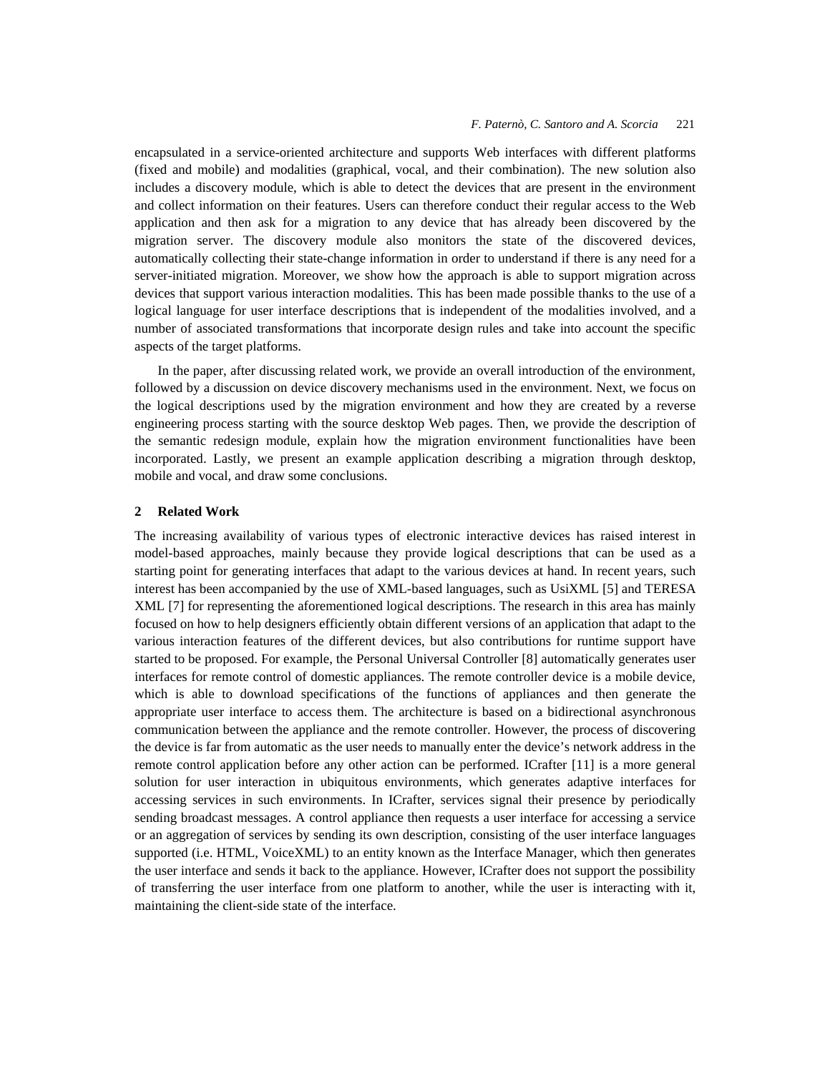encapsulated in a service-oriented architecture and supports Web interfaces with different platforms (fixed and mobile) and modalities (graphical, vocal, and their combination). The new solution also includes a discovery module, which is able to detect the devices that are present in the environment and collect information on their features. Users can therefore conduct their regular access to the Web application and then ask for a migration to any device that has already been discovered by the migration server. The discovery module also monitors the state of the discovered devices, automatically collecting their state-change information in order to understand if there is any need for a server-initiated migration. Moreover, we show how the approach is able to support migration across devices that support various interaction modalities. This has been made possible thanks to the use of a logical language for user interface descriptions that is independent of the modalities involved, and a number of associated transformations that incorporate design rules and take into account the specific aspects of the target platforms.

In the paper, after discussing related work, we provide an overall introduction of the environment, followed by a discussion on device discovery mechanisms used in the environment. Next, we focus on the logical descriptions used by the migration environment and how they are created by a reverse engineering process starting with the source desktop Web pages. Then, we provide the description of the semantic redesign module, explain how the migration environment functionalities have been incorporated. Lastly, we present an example application describing a migration through desktop, mobile and vocal, and draw some conclusions.

## **2 Related Work**

The increasing availability of various types of electronic interactive devices has raised interest in model-based approaches, mainly because they provide logical descriptions that can be used as a starting point for generating interfaces that adapt to the various devices at hand. In recent years, such interest has been accompanied by the use of XML-based languages, such as UsiXML [5] and TERESA XML [7] for representing the aforementioned logical descriptions. The research in this area has mainly focused on how to help designers efficiently obtain different versions of an application that adapt to the various interaction features of the different devices, but also contributions for runtime support have started to be proposed. For example, the Personal Universal Controller [8] automatically generates user interfaces for remote control of domestic appliances. The remote controller device is a mobile device, which is able to download specifications of the functions of appliances and then generate the appropriate user interface to access them. The architecture is based on a bidirectional asynchronous communication between the appliance and the remote controller. However, the process of discovering the device is far from automatic as the user needs to manually enter the device's network address in the remote control application before any other action can be performed. ICrafter [11] is a more general solution for user interaction in ubiquitous environments, which generates adaptive interfaces for accessing services in such environments. In ICrafter, services signal their presence by periodically sending broadcast messages. A control appliance then requests a user interface for accessing a service or an aggregation of services by sending its own description, consisting of the user interface languages supported (i.e. HTML, VoiceXML) to an entity known as the Interface Manager, which then generates the user interface and sends it back to the appliance. However, ICrafter does not support the possibility of transferring the user interface from one platform to another, while the user is interacting with it, maintaining the client-side state of the interface.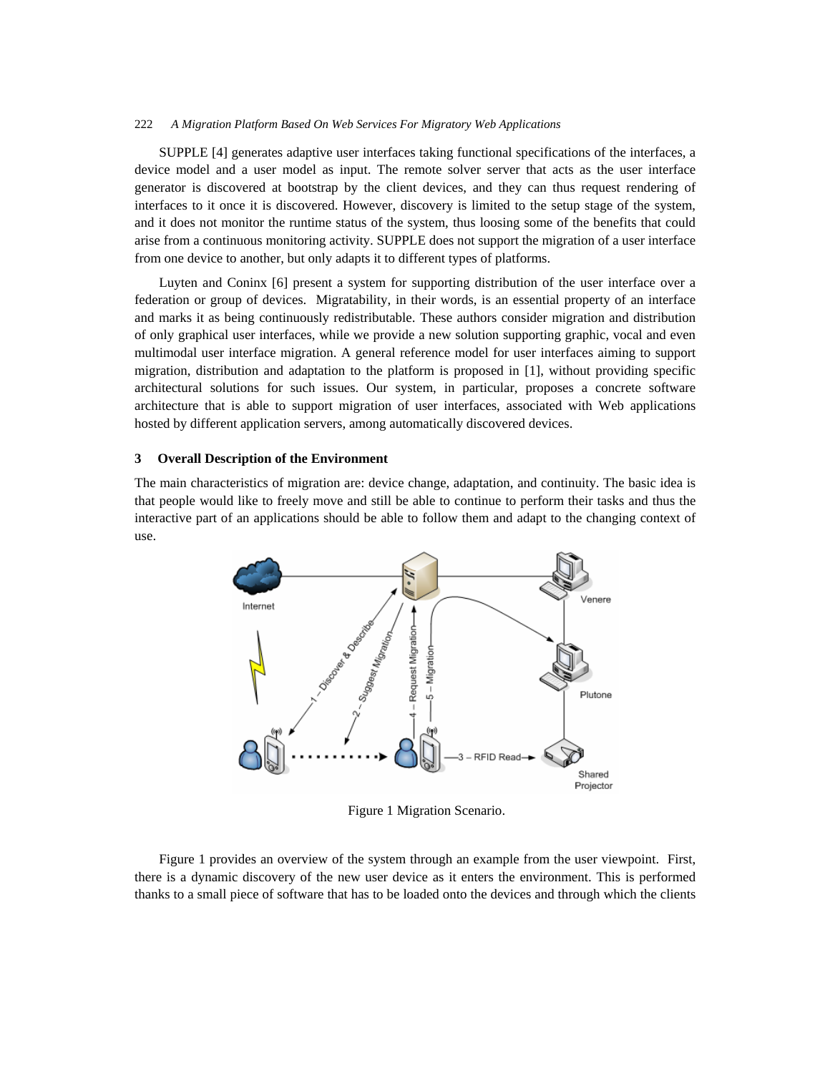SUPPLE [4] generates adaptive user interfaces taking functional specifications of the interfaces, a device model and a user model as input. The remote solver server that acts as the user interface generator is discovered at bootstrap by the client devices, and they can thus request rendering of interfaces to it once it is discovered. However, discovery is limited to the setup stage of the system, and it does not monitor the runtime status of the system, thus loosing some of the benefits that could arise from a continuous monitoring activity. SUPPLE does not support the migration of a user interface from one device to another, but only adapts it to different types of platforms.

Luyten and Coninx [6] present a system for supporting distribution of the user interface over a federation or group of devices. Migratability, in their words, is an essential property of an interface and marks it as being continuously redistributable. These authors consider migration and distribution of only graphical user interfaces, while we provide a new solution supporting graphic, vocal and even multimodal user interface migration. A general reference model for user interfaces aiming to support migration, distribution and adaptation to the platform is proposed in [1], without providing specific architectural solutions for such issues. Our system, in particular, proposes a concrete software architecture that is able to support migration of user interfaces, associated with Web applications hosted by different application servers, among automatically discovered devices.

## **3 Overall Description of the Environment**

The main characteristics of migration are: device change, adaptation, and continuity. The basic idea is that people would like to freely move and still be able to continue to perform their tasks and thus the interactive part of an applications should be able to follow them and adapt to the changing context of use.



Figure 1 Migration Scenario.

Figure 1 provides an overview of the system through an example from the user viewpoint. First, there is a dynamic discovery of the new user device as it enters the environment. This is performed thanks to a small piece of software that has to be loaded onto the devices and through which the clients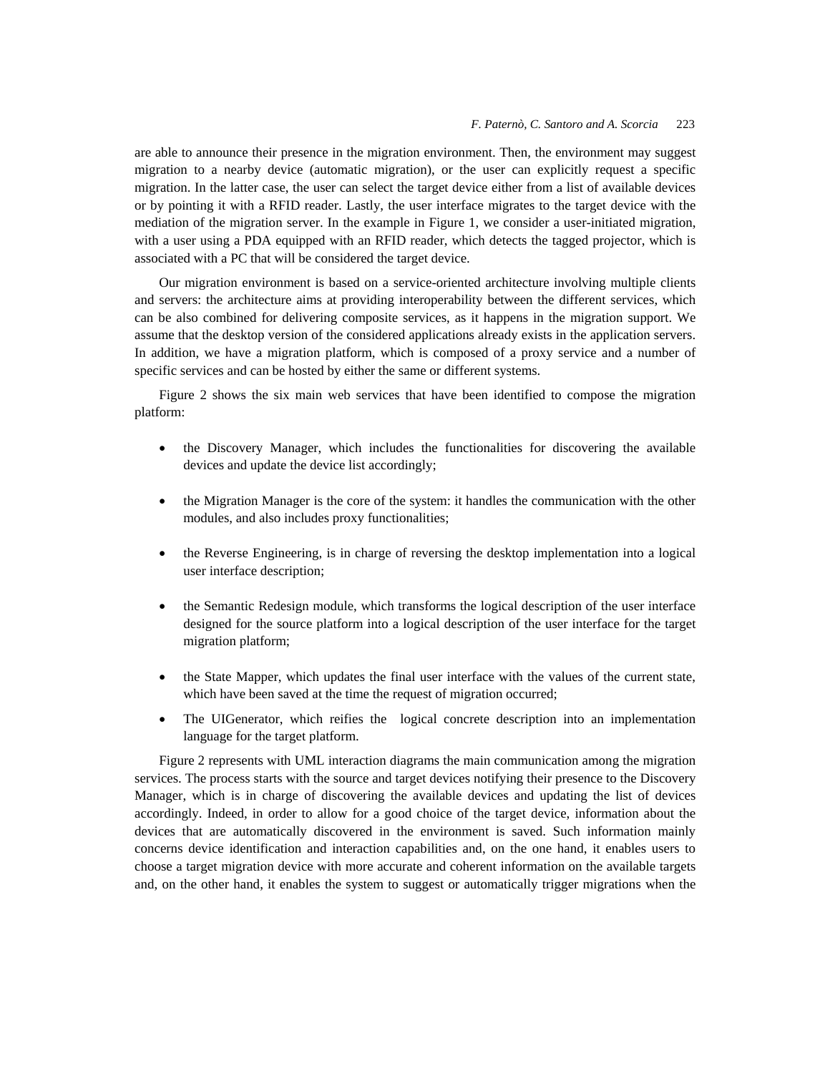are able to announce their presence in the migration environment. Then, the environment may suggest migration to a nearby device (automatic migration), or the user can explicitly request a specific migration. In the latter case, the user can select the target device either from a list of available devices or by pointing it with a RFID reader. Lastly, the user interface migrates to the target device with the mediation of the migration server. In the example in Figure 1, we consider a user-initiated migration, with a user using a PDA equipped with an RFID reader, which detects the tagged projector, which is associated with a PC that will be considered the target device.

Our migration environment is based on a service-oriented architecture involving multiple clients and servers: the architecture aims at providing interoperability between the different services, which can be also combined for delivering composite services, as it happens in the migration support. We assume that the desktop version of the considered applications already exists in the application servers. In addition, we have a migration platform, which is composed of a proxy service and a number of specific services and can be hosted by either the same or different systems.

Figure 2 shows the six main web services that have been identified to compose the migration platform:

- the Discovery Manager, which includes the functionalities for discovering the available devices and update the device list accordingly;
- the Migration Manager is the core of the system: it handles the communication with the other modules, and also includes proxy functionalities;
- the Reverse Engineering, is in charge of reversing the desktop implementation into a logical user interface description;
- the Semantic Redesign module, which transforms the logical description of the user interface designed for the source platform into a logical description of the user interface for the target migration platform;
- the State Mapper, which updates the final user interface with the values of the current state, which have been saved at the time the request of migration occurred;
- The UIGenerator, which reifies the logical concrete description into an implementation language for the target platform.

Figure 2 represents with UML interaction diagrams the main communication among the migration services. The process starts with the source and target devices notifying their presence to the Discovery Manager, which is in charge of discovering the available devices and updating the list of devices accordingly. Indeed, in order to allow for a good choice of the target device, information about the devices that are automatically discovered in the environment is saved. Such information mainly concerns device identification and interaction capabilities and, on the one hand, it enables users to choose a target migration device with more accurate and coherent information on the available targets and, on the other hand, it enables the system to suggest or automatically trigger migrations when the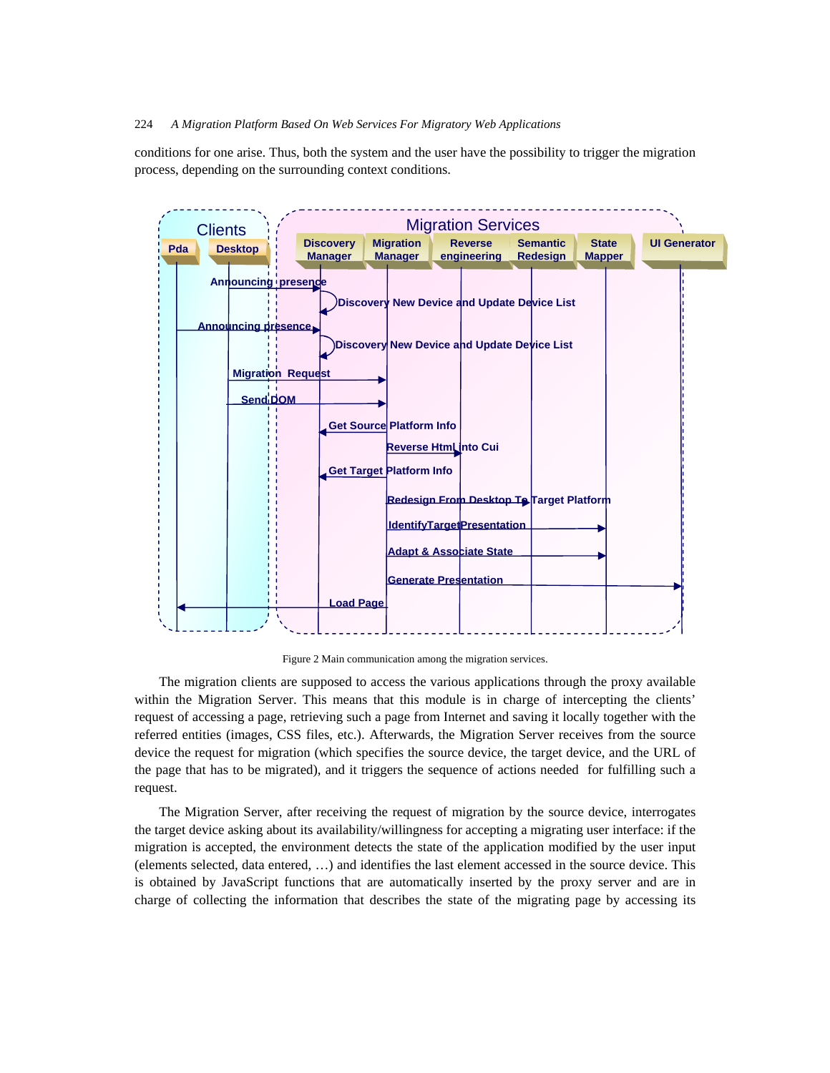conditions for one arise. Thus, both the system and the user have the possibility to trigger the migration process, depending on the surrounding context conditions.



Figure 2 Main communication among the migration services.

The migration clients are supposed to access the various applications through the proxy available within the Migration Server. This means that this module is in charge of intercepting the clients' request of accessing a page, retrieving such a page from Internet and saving it locally together with the referred entities (images, CSS files, etc.). Afterwards, the Migration Server receives from the source device the request for migration (which specifies the source device, the target device, and the URL of the page that has to be migrated), and it triggers the sequence of actions needed for fulfilling such a request.

The Migration Server, after receiving the request of migration by the source device, interrogates the target device asking about its availability/willingness for accepting a migrating user interface: if the migration is accepted, the environment detects the state of the application modified by the user input (elements selected, data entered, …) and identifies the last element accessed in the source device. This is obtained by JavaScript functions that are automatically inserted by the proxy server and are in charge of collecting the information that describes the state of the migrating page by accessing its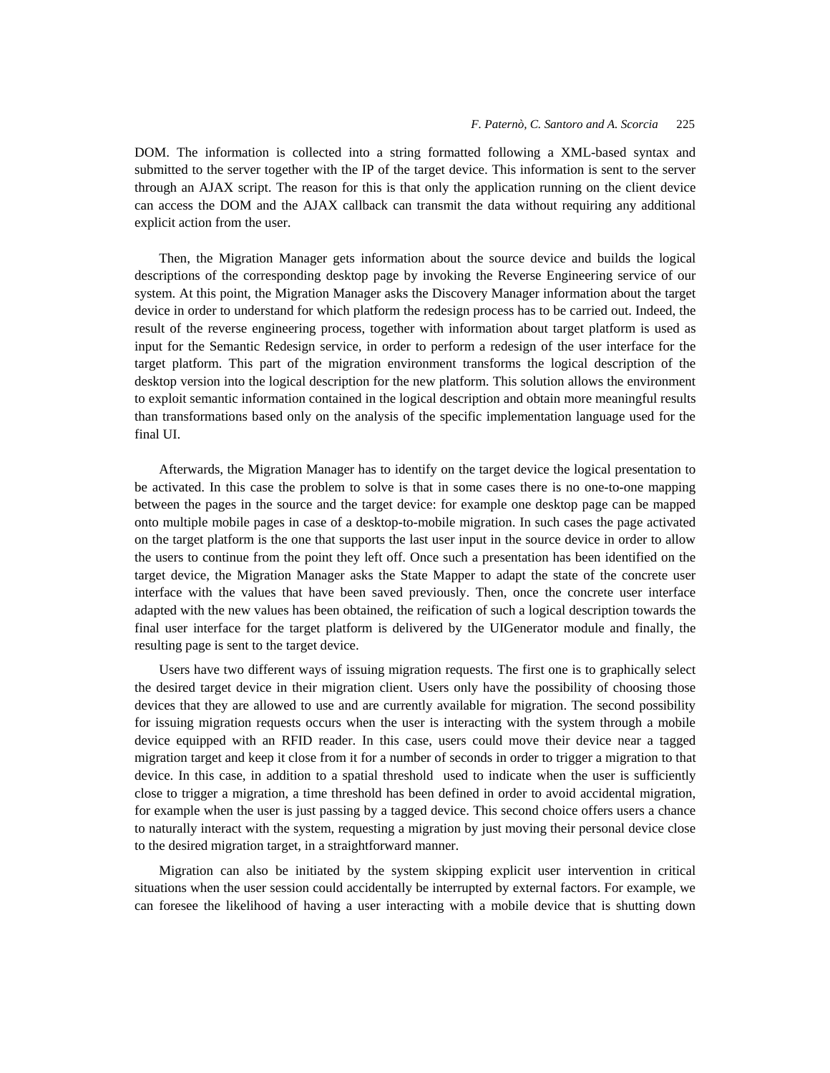DOM. The information is collected into a string formatted following a XML-based syntax and submitted to the server together with the IP of the target device. This information is sent to the server through an AJAX script. The reason for this is that only the application running on the client device can access the DOM and the AJAX callback can transmit the data without requiring any additional explicit action from the user.

Then, the Migration Manager gets information about the source device and builds the logical descriptions of the corresponding desktop page by invoking the Reverse Engineering service of our system. At this point, the Migration Manager asks the Discovery Manager information about the target device in order to understand for which platform the redesign process has to be carried out. Indeed, the result of the reverse engineering process, together with information about target platform is used as input for the Semantic Redesign service, in order to perform a redesign of the user interface for the target platform. This part of the migration environment transforms the logical description of the desktop version into the logical description for the new platform. This solution allows the environment to exploit semantic information contained in the logical description and obtain more meaningful results than transformations based only on the analysis of the specific implementation language used for the final UI.

Afterwards, the Migration Manager has to identify on the target device the logical presentation to be activated. In this case the problem to solve is that in some cases there is no one-to-one mapping between the pages in the source and the target device: for example one desktop page can be mapped onto multiple mobile pages in case of a desktop-to-mobile migration. In such cases the page activated on the target platform is the one that supports the last user input in the source device in order to allow the users to continue from the point they left off. Once such a presentation has been identified on the target device, the Migration Manager asks the State Mapper to adapt the state of the concrete user interface with the values that have been saved previously. Then, once the concrete user interface adapted with the new values has been obtained, the reification of such a logical description towards the final user interface for the target platform is delivered by the UIGenerator module and finally, the resulting page is sent to the target device.

Users have two different ways of issuing migration requests. The first one is to graphically select the desired target device in their migration client. Users only have the possibility of choosing those devices that they are allowed to use and are currently available for migration. The second possibility for issuing migration requests occurs when the user is interacting with the system through a mobile device equipped with an RFID reader. In this case, users could move their device near a tagged migration target and keep it close from it for a number of seconds in order to trigger a migration to that device. In this case, in addition to a spatial threshold used to indicate when the user is sufficiently close to trigger a migration, a time threshold has been defined in order to avoid accidental migration, for example when the user is just passing by a tagged device. This second choice offers users a chance to naturally interact with the system, requesting a migration by just moving their personal device close to the desired migration target, in a straightforward manner.

Migration can also be initiated by the system skipping explicit user intervention in critical situations when the user session could accidentally be interrupted by external factors. For example, we can foresee the likelihood of having a user interacting with a mobile device that is shutting down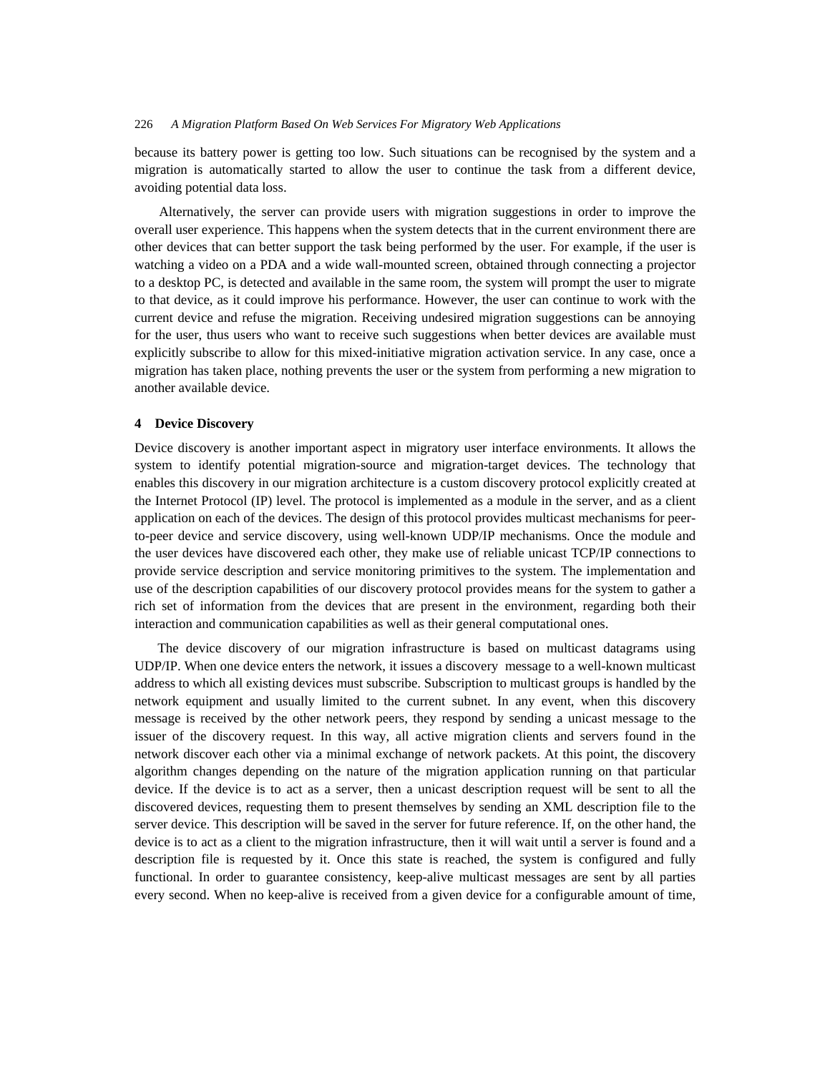because its battery power is getting too low. Such situations can be recognised by the system and a migration is automatically started to allow the user to continue the task from a different device, avoiding potential data loss.

Alternatively, the server can provide users with migration suggestions in order to improve the overall user experience. This happens when the system detects that in the current environment there are other devices that can better support the task being performed by the user. For example, if the user is watching a video on a PDA and a wide wall-mounted screen, obtained through connecting a projector to a desktop PC, is detected and available in the same room, the system will prompt the user to migrate to that device, as it could improve his performance. However, the user can continue to work with the current device and refuse the migration. Receiving undesired migration suggestions can be annoying for the user, thus users who want to receive such suggestions when better devices are available must explicitly subscribe to allow for this mixed-initiative migration activation service. In any case, once a migration has taken place, nothing prevents the user or the system from performing a new migration to another available device.

## **4 Device Discovery**

Device discovery is another important aspect in migratory user interface environments. It allows the system to identify potential migration-source and migration-target devices. The technology that enables this discovery in our migration architecture is a custom discovery protocol explicitly created at the Internet Protocol (IP) level. The protocol is implemented as a module in the server, and as a client application on each of the devices. The design of this protocol provides multicast mechanisms for peerto-peer device and service discovery, using well-known UDP/IP mechanisms. Once the module and the user devices have discovered each other, they make use of reliable unicast TCP/IP connections to provide service description and service monitoring primitives to the system. The implementation and use of the description capabilities of our discovery protocol provides means for the system to gather a rich set of information from the devices that are present in the environment, regarding both their interaction and communication capabilities as well as their general computational ones.

The device discovery of our migration infrastructure is based on multicast datagrams using UDP/IP. When one device enters the network, it issues a discovery message to a well-known multicast address to which all existing devices must subscribe. Subscription to multicast groups is handled by the network equipment and usually limited to the current subnet. In any event, when this discovery message is received by the other network peers, they respond by sending a unicast message to the issuer of the discovery request. In this way, all active migration clients and servers found in the network discover each other via a minimal exchange of network packets. At this point, the discovery algorithm changes depending on the nature of the migration application running on that particular device. If the device is to act as a server, then a unicast description request will be sent to all the discovered devices, requesting them to present themselves by sending an XML description file to the server device. This description will be saved in the server for future reference. If, on the other hand, the device is to act as a client to the migration infrastructure, then it will wait until a server is found and a description file is requested by it. Once this state is reached, the system is configured and fully functional. In order to guarantee consistency, keep-alive multicast messages are sent by all parties every second. When no keep-alive is received from a given device for a configurable amount of time,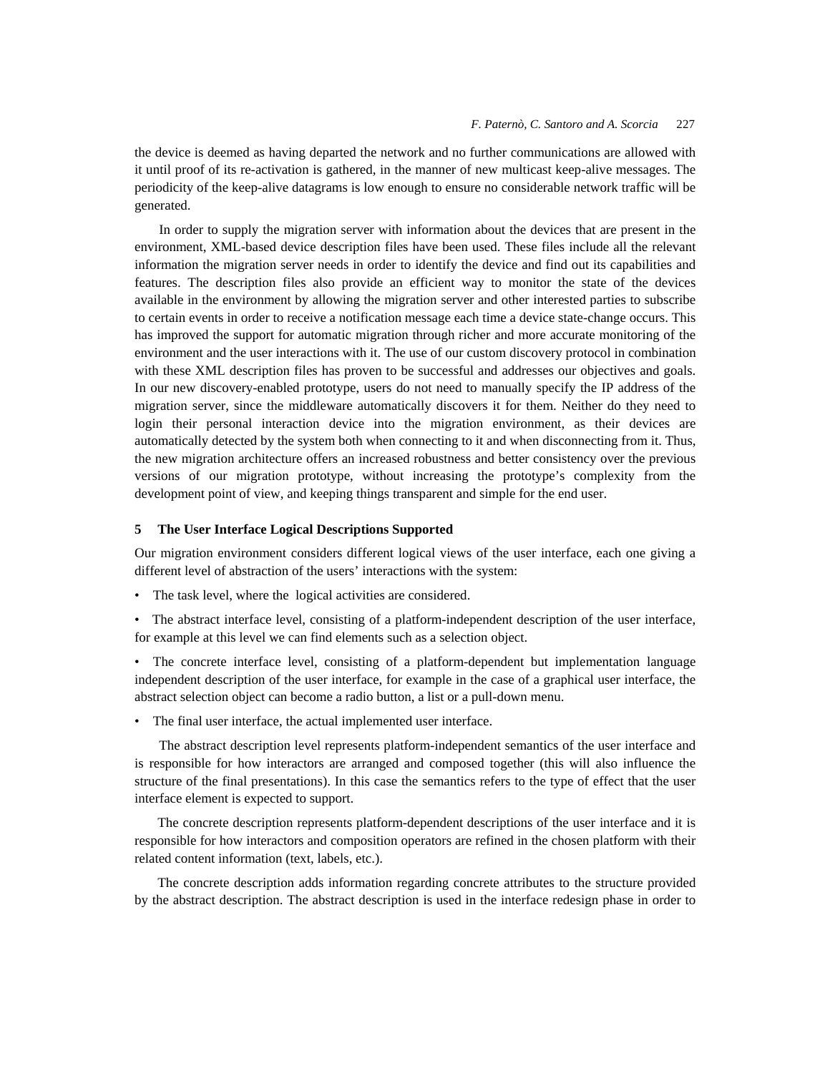the device is deemed as having departed the network and no further communications are allowed with it until proof of its re-activation is gathered, in the manner of new multicast keep-alive messages. The periodicity of the keep-alive datagrams is low enough to ensure no considerable network traffic will be generated.

In order to supply the migration server with information about the devices that are present in the environment, XML-based device description files have been used. These files include all the relevant information the migration server needs in order to identify the device and find out its capabilities and features. The description files also provide an efficient way to monitor the state of the devices available in the environment by allowing the migration server and other interested parties to subscribe to certain events in order to receive a notification message each time a device state-change occurs. This has improved the support for automatic migration through richer and more accurate monitoring of the environment and the user interactions with it. The use of our custom discovery protocol in combination with these XML description files has proven to be successful and addresses our objectives and goals. In our new discovery-enabled prototype, users do not need to manually specify the IP address of the migration server, since the middleware automatically discovers it for them. Neither do they need to login their personal interaction device into the migration environment, as their devices are automatically detected by the system both when connecting to it and when disconnecting from it. Thus, the new migration architecture offers an increased robustness and better consistency over the previous versions of our migration prototype, without increasing the prototype's complexity from the development point of view, and keeping things transparent and simple for the end user.

### **5 The User Interface Logical Descriptions Supported**

Our migration environment considers different logical views of the user interface, each one giving a different level of abstraction of the users' interactions with the system:

- The task level, where the logical activities are considered.
- The abstract interface level, consisting of a platform-independent description of the user interface, for example at this level we can find elements such as a selection object.
- The concrete interface level, consisting of a platform-dependent but implementation language independent description of the user interface, for example in the case of a graphical user interface, the abstract selection object can become a radio button, a list or a pull-down menu.
- The final user interface, the actual implemented user interface.

The abstract description level represents platform-independent semantics of the user interface and is responsible for how interactors are arranged and composed together (this will also influence the structure of the final presentations). In this case the semantics refers to the type of effect that the user interface element is expected to support.

The concrete description represents platform-dependent descriptions of the user interface and it is responsible for how interactors and composition operators are refined in the chosen platform with their related content information (text, labels, etc.).

The concrete description adds information regarding concrete attributes to the structure provided by the abstract description. The abstract description is used in the interface redesign phase in order to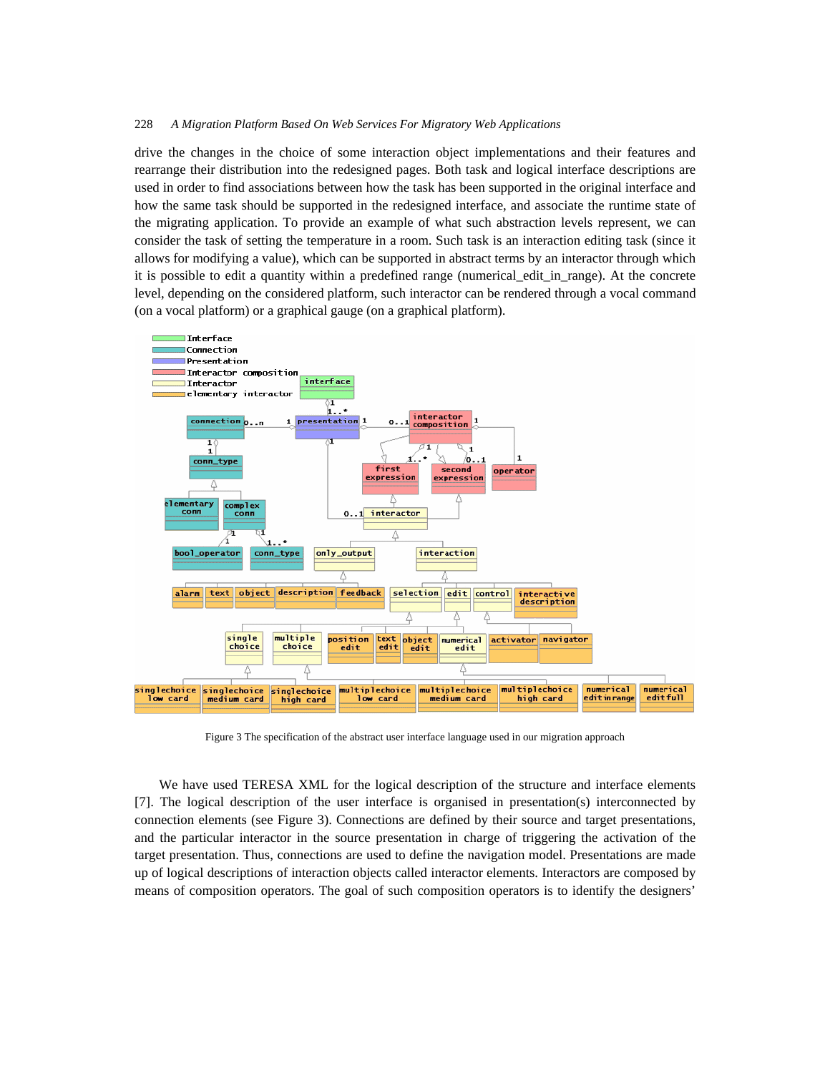drive the changes in the choice of some interaction object implementations and their features and rearrange their distribution into the redesigned pages. Both task and logical interface descriptions are used in order to find associations between how the task has been supported in the original interface and how the same task should be supported in the redesigned interface, and associate the runtime state of the migrating application. To provide an example of what such abstraction levels represent, we can consider the task of setting the temperature in a room. Such task is an interaction editing task (since it allows for modifying a value), which can be supported in abstract terms by an interactor through which it is possible to edit a quantity within a predefined range (numerical\_edit\_in\_range). At the concrete level, depending on the considered platform, such interactor can be rendered through a vocal command (on a vocal platform) or a graphical gauge (on a graphical platform).



Figure 3 The specification of the abstract user interface language used in our migration approach

We have used TERESA XML for the logical description of the structure and interface elements [7]. The logical description of the user interface is organised in presentation(s) interconnected by connection elements (see Figure 3). Connections are defined by their source and target presentations, and the particular interactor in the source presentation in charge of triggering the activation of the target presentation. Thus, connections are used to define the navigation model. Presentations are made up of logical descriptions of interaction objects called interactor elements. Interactors are composed by means of composition operators. The goal of such composition operators is to identify the designers'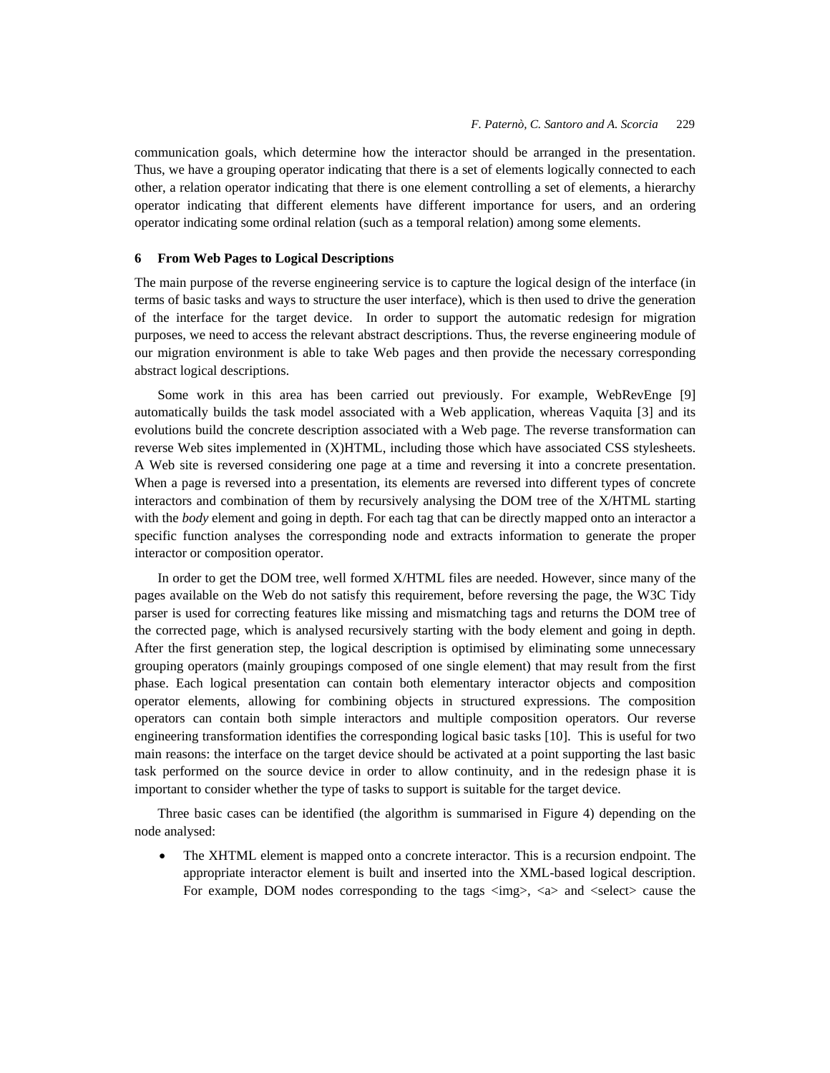communication goals, which determine how the interactor should be arranged in the presentation. Thus, we have a grouping operator indicating that there is a set of elements logically connected to each other, a relation operator indicating that there is one element controlling a set of elements, a hierarchy operator indicating that different elements have different importance for users, and an ordering operator indicating some ordinal relation (such as a temporal relation) among some elements.

## **6 From Web Pages to Logical Descriptions**

The main purpose of the reverse engineering service is to capture the logical design of the interface (in terms of basic tasks and ways to structure the user interface), which is then used to drive the generation of the interface for the target device. In order to support the automatic redesign for migration purposes, we need to access the relevant abstract descriptions. Thus, the reverse engineering module of our migration environment is able to take Web pages and then provide the necessary corresponding abstract logical descriptions.

Some work in this area has been carried out previously. For example, WebRevEnge [9] automatically builds the task model associated with a Web application, whereas Vaquita [3] and its evolutions build the concrete description associated with a Web page. The reverse transformation can reverse Web sites implemented in (X)HTML, including those which have associated CSS stylesheets. A Web site is reversed considering one page at a time and reversing it into a concrete presentation. When a page is reversed into a presentation, its elements are reversed into different types of concrete interactors and combination of them by recursively analysing the DOM tree of the X/HTML starting with the *body* element and going in depth. For each tag that can be directly mapped onto an interactor a specific function analyses the corresponding node and extracts information to generate the proper interactor or composition operator.

In order to get the DOM tree, well formed X/HTML files are needed. However, since many of the pages available on the Web do not satisfy this requirement, before reversing the page, the W3C Tidy parser is used for correcting features like missing and mismatching tags and returns the DOM tree of the corrected page, which is analysed recursively starting with the body element and going in depth. After the first generation step, the logical description is optimised by eliminating some unnecessary grouping operators (mainly groupings composed of one single element) that may result from the first phase. Each logical presentation can contain both elementary interactor objects and composition operator elements, allowing for combining objects in structured expressions. The composition operators can contain both simple interactors and multiple composition operators. Our reverse engineering transformation identifies the corresponding logical basic tasks [10]. This is useful for two main reasons: the interface on the target device should be activated at a point supporting the last basic task performed on the source device in order to allow continuity, and in the redesign phase it is important to consider whether the type of tasks to support is suitable for the target device.

Three basic cases can be identified (the algorithm is summarised in Figure 4) depending on the node analysed:

• The XHTML element is mapped onto a concrete interactor. This is a recursion endpoint. The appropriate interactor element is built and inserted into the XML-based logical description. For example, DOM nodes corresponding to the tags  $\langle \text{img} \rangle$ ,  $\langle \text{a} \rangle$  and  $\langle \text{select} \rangle$  cause the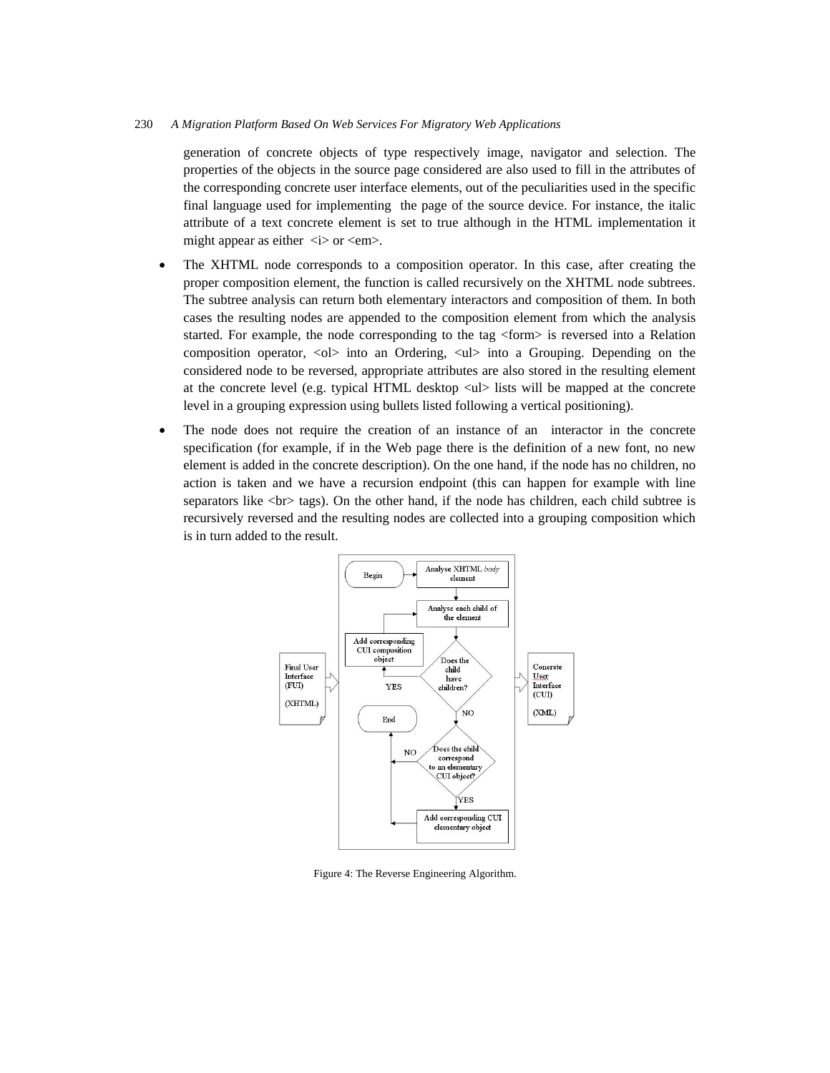generation of concrete objects of type respectively image, navigator and selection. The properties of the objects in the source page considered are also used to fill in the attributes of the corresponding concrete user interface elements, out of the peculiarities used in the specific final language used for implementing the page of the source device. For instance, the italic attribute of a text concrete element is set to true although in the HTML implementation it might appear as either  $\langle i \rangle$  or  $\langle em \rangle$ .

- The XHTML node corresponds to a composition operator. In this case, after creating the proper composition element, the function is called recursively on the XHTML node subtrees. The subtree analysis can return both elementary interactors and composition of them. In both cases the resulting nodes are appended to the composition element from which the analysis started. For example, the node corresponding to the tag <form> is reversed into a Relation composition operator,  $\langle$ ol $\rangle$  into an Ordering,  $\langle$ ul $\rangle$  into a Grouping. Depending on the considered node to be reversed, appropriate attributes are also stored in the resulting element at the concrete level (e.g. typical HTML desktop  $\langle$ ul $\rangle$  lists will be mapped at the concrete level in a grouping expression using bullets listed following a vertical positioning).
- The node does not require the creation of an instance of an interactor in the concrete specification (for example, if in the Web page there is the definition of a new font, no new element is added in the concrete description). On the one hand, if the node has no children, no action is taken and we have a recursion endpoint (this can happen for example with line separators like  $\langle$ br $\rangle$  tags). On the other hand, if the node has children, each child subtree is recursively reversed and the resulting nodes are collected into a grouping composition which is in turn added to the result.



Figure 4: The Reverse Engineering Algorithm.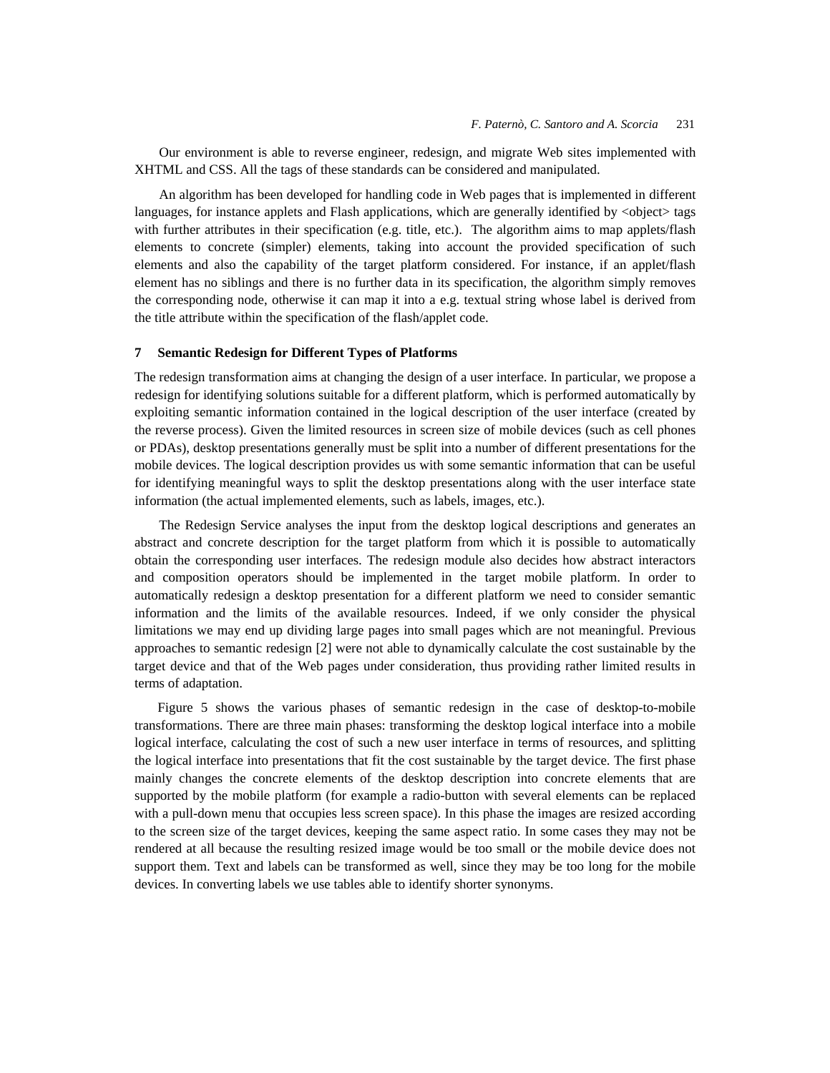Our environment is able to reverse engineer, redesign, and migrate Web sites implemented with XHTML and CSS. All the tags of these standards can be considered and manipulated.

An algorithm has been developed for handling code in Web pages that is implemented in different languages, for instance applets and Flash applications, which are generally identified by <object> tags with further attributes in their specification (e.g. title, etc.). The algorithm aims to map applets/flash elements to concrete (simpler) elements, taking into account the provided specification of such elements and also the capability of the target platform considered. For instance, if an applet/flash element has no siblings and there is no further data in its specification, the algorithm simply removes the corresponding node, otherwise it can map it into a e.g. textual string whose label is derived from the title attribute within the specification of the flash/applet code.

#### **7 Semantic Redesign for Different Types of Platforms**

The redesign transformation aims at changing the design of a user interface. In particular, we propose a redesign for identifying solutions suitable for a different platform, which is performed automatically by exploiting semantic information contained in the logical description of the user interface (created by the reverse process). Given the limited resources in screen size of mobile devices (such as cell phones or PDAs), desktop presentations generally must be split into a number of different presentations for the mobile devices. The logical description provides us with some semantic information that can be useful for identifying meaningful ways to split the desktop presentations along with the user interface state information (the actual implemented elements, such as labels, images, etc.).

The Redesign Service analyses the input from the desktop logical descriptions and generates an abstract and concrete description for the target platform from which it is possible to automatically obtain the corresponding user interfaces. The redesign module also decides how abstract interactors and composition operators should be implemented in the target mobile platform. In order to automatically redesign a desktop presentation for a different platform we need to consider semantic information and the limits of the available resources. Indeed, if we only consider the physical limitations we may end up dividing large pages into small pages which are not meaningful. Previous approaches to semantic redesign [2] were not able to dynamically calculate the cost sustainable by the target device and that of the Web pages under consideration, thus providing rather limited results in terms of adaptation.

Figure 5 shows the various phases of semantic redesign in the case of desktop-to-mobile transformations. There are three main phases: transforming the desktop logical interface into a mobile logical interface, calculating the cost of such a new user interface in terms of resources, and splitting the logical interface into presentations that fit the cost sustainable by the target device. The first phase mainly changes the concrete elements of the desktop description into concrete elements that are supported by the mobile platform (for example a radio-button with several elements can be replaced with a pull-down menu that occupies less screen space). In this phase the images are resized according to the screen size of the target devices, keeping the same aspect ratio. In some cases they may not be rendered at all because the resulting resized image would be too small or the mobile device does not support them. Text and labels can be transformed as well, since they may be too long for the mobile devices. In converting labels we use tables able to identify shorter synonyms.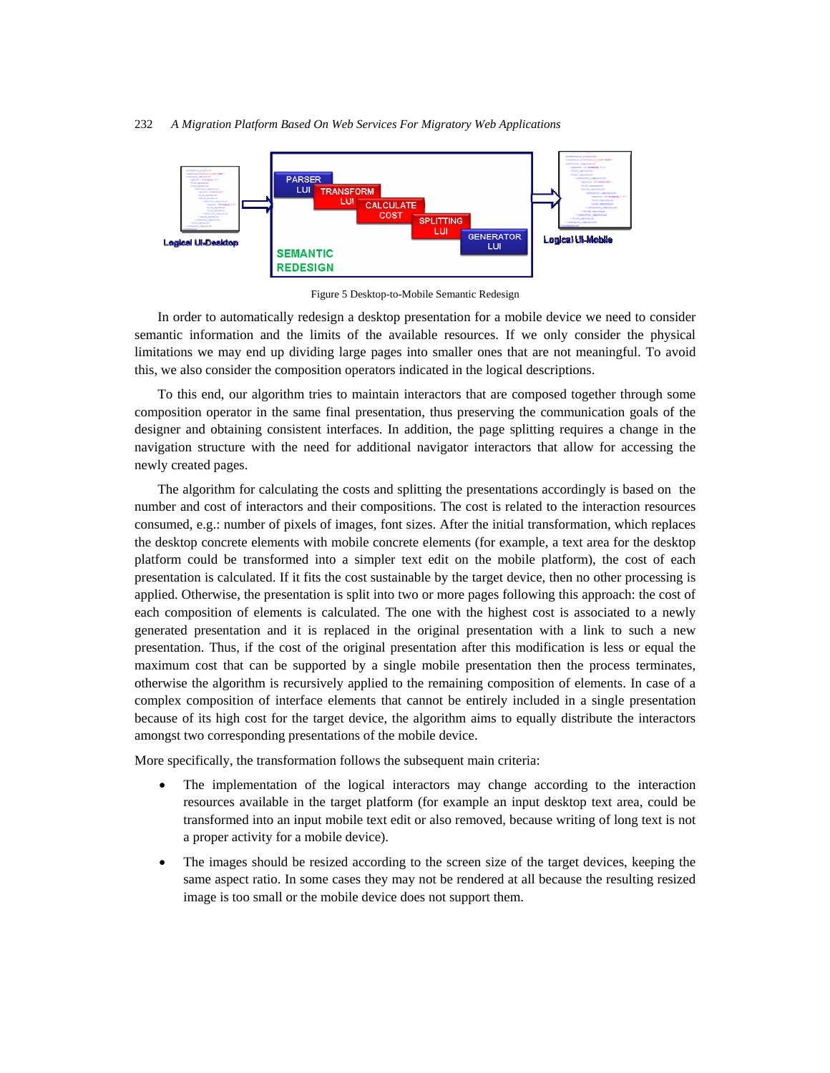

Figure 5 Desktop-to-Mobile Semantic Redesign

In order to automatically redesign a desktop presentation for a mobile device we need to consider semantic information and the limits of the available resources. If we only consider the physical limitations we may end up dividing large pages into smaller ones that are not meaningful. To avoid this, we also consider the composition operators indicated in the logical descriptions.

To this end, our algorithm tries to maintain interactors that are composed together through some composition operator in the same final presentation, thus preserving the communication goals of the designer and obtaining consistent interfaces. In addition, the page splitting requires a change in the navigation structure with the need for additional navigator interactors that allow for accessing the newly created pages.

The algorithm for calculating the costs and splitting the presentations accordingly is based on the number and cost of interactors and their compositions. The cost is related to the interaction resources consumed, e.g.: number of pixels of images, font sizes. After the initial transformation, which replaces the desktop concrete elements with mobile concrete elements (for example, a text area for the desktop platform could be transformed into a simpler text edit on the mobile platform), the cost of each presentation is calculated. If it fits the cost sustainable by the target device, then no other processing is applied. Otherwise, the presentation is split into two or more pages following this approach: the cost of each composition of elements is calculated. The one with the highest cost is associated to a newly generated presentation and it is replaced in the original presentation with a link to such a new presentation. Thus, if the cost of the original presentation after this modification is less or equal the maximum cost that can be supported by a single mobile presentation then the process terminates, otherwise the algorithm is recursively applied to the remaining composition of elements. In case of a complex composition of interface elements that cannot be entirely included in a single presentation because of its high cost for the target device, the algorithm aims to equally distribute the interactors amongst two corresponding presentations of the mobile device.

More specifically, the transformation follows the subsequent main criteria:

- The implementation of the logical interactors may change according to the interaction resources available in the target platform (for example an input desktop text area, could be transformed into an input mobile text edit or also removed, because writing of long text is not a proper activity for a mobile device).
- The images should be resized according to the screen size of the target devices, keeping the same aspect ratio. In some cases they may not be rendered at all because the resulting resized image is too small or the mobile device does not support them.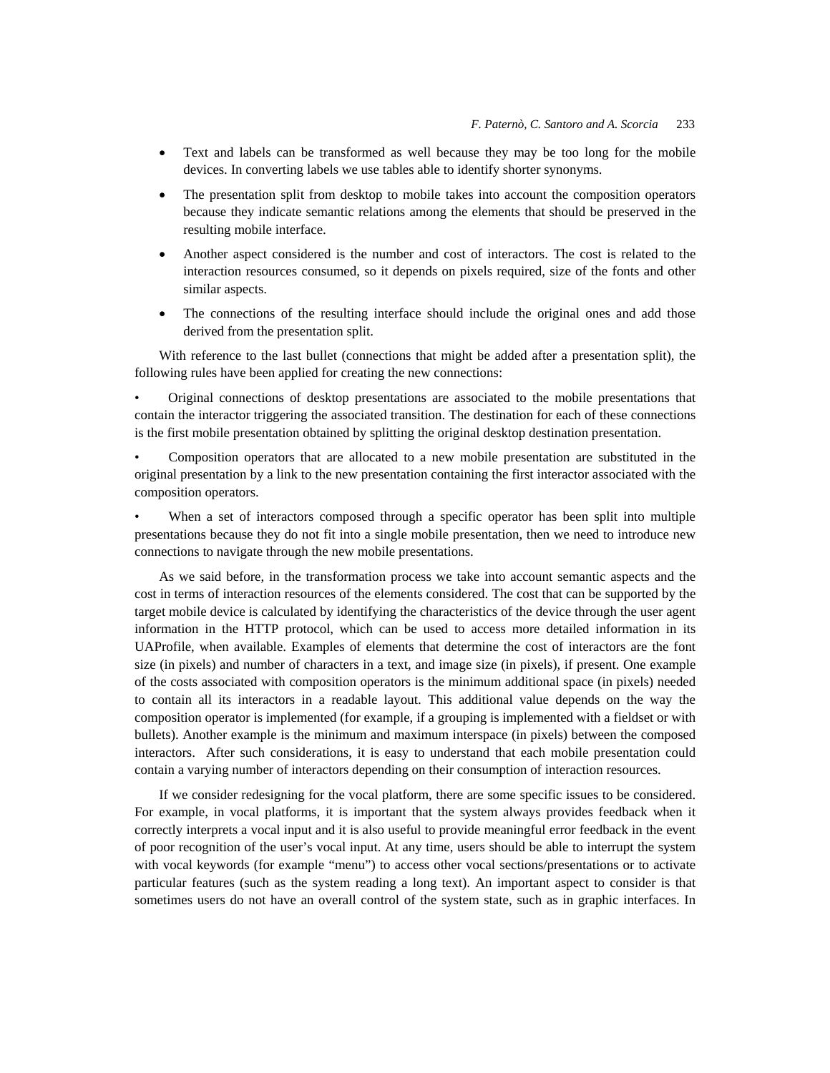- Text and labels can be transformed as well because they may be too long for the mobile devices. In converting labels we use tables able to identify shorter synonyms.
- The presentation split from desktop to mobile takes into account the composition operators because they indicate semantic relations among the elements that should be preserved in the resulting mobile interface.
- Another aspect considered is the number and cost of interactors. The cost is related to the interaction resources consumed, so it depends on pixels required, size of the fonts and other similar aspects.
- The connections of the resulting interface should include the original ones and add those derived from the presentation split.

With reference to the last bullet (connections that might be added after a presentation split), the following rules have been applied for creating the new connections:

• Original connections of desktop presentations are associated to the mobile presentations that contain the interactor triggering the associated transition. The destination for each of these connections is the first mobile presentation obtained by splitting the original desktop destination presentation.

• Composition operators that are allocated to a new mobile presentation are substituted in the original presentation by a link to the new presentation containing the first interactor associated with the composition operators.

When a set of interactors composed through a specific operator has been split into multiple presentations because they do not fit into a single mobile presentation, then we need to introduce new connections to navigate through the new mobile presentations.

As we said before, in the transformation process we take into account semantic aspects and the cost in terms of interaction resources of the elements considered. The cost that can be supported by the target mobile device is calculated by identifying the characteristics of the device through the user agent information in the HTTP protocol, which can be used to access more detailed information in its UAProfile, when available. Examples of elements that determine the cost of interactors are the font size (in pixels) and number of characters in a text, and image size (in pixels), if present. One example of the costs associated with composition operators is the minimum additional space (in pixels) needed to contain all its interactors in a readable layout. This additional value depends on the way the composition operator is implemented (for example, if a grouping is implemented with a fieldset or with bullets). Another example is the minimum and maximum interspace (in pixels) between the composed interactors. After such considerations, it is easy to understand that each mobile presentation could contain a varying number of interactors depending on their consumption of interaction resources.

If we consider redesigning for the vocal platform, there are some specific issues to be considered. For example, in vocal platforms, it is important that the system always provides feedback when it correctly interprets a vocal input and it is also useful to provide meaningful error feedback in the event of poor recognition of the user's vocal input. At any time, users should be able to interrupt the system with vocal keywords (for example "menu") to access other vocal sections/presentations or to activate particular features (such as the system reading a long text). An important aspect to consider is that sometimes users do not have an overall control of the system state, such as in graphic interfaces. In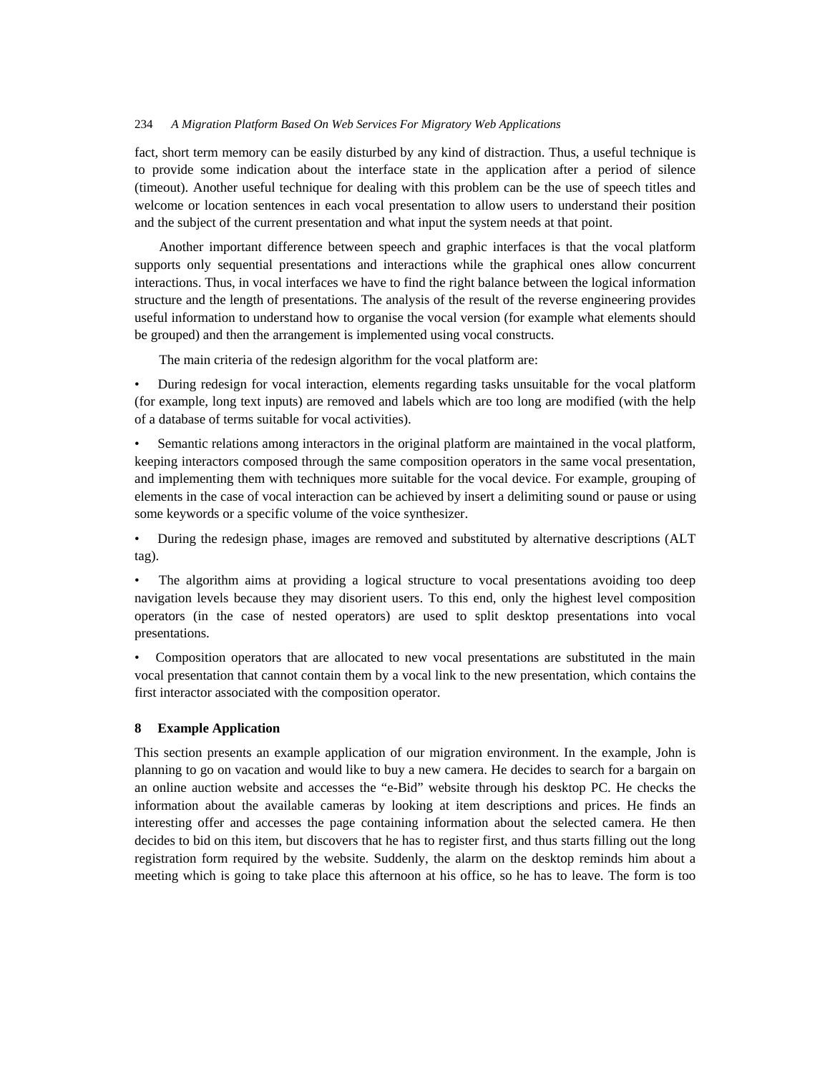fact, short term memory can be easily disturbed by any kind of distraction. Thus, a useful technique is to provide some indication about the interface state in the application after a period of silence (timeout). Another useful technique for dealing with this problem can be the use of speech titles and welcome or location sentences in each vocal presentation to allow users to understand their position and the subject of the current presentation and what input the system needs at that point.

Another important difference between speech and graphic interfaces is that the vocal platform supports only sequential presentations and interactions while the graphical ones allow concurrent interactions. Thus, in vocal interfaces we have to find the right balance between the logical information structure and the length of presentations. The analysis of the result of the reverse engineering provides useful information to understand how to organise the vocal version (for example what elements should be grouped) and then the arrangement is implemented using vocal constructs.

The main criteria of the redesign algorithm for the vocal platform are:

• During redesign for vocal interaction, elements regarding tasks unsuitable for the vocal platform (for example, long text inputs) are removed and labels which are too long are modified (with the help of a database of terms suitable for vocal activities).

Semantic relations among interactors in the original platform are maintained in the vocal platform, keeping interactors composed through the same composition operators in the same vocal presentation, and implementing them with techniques more suitable for the vocal device. For example, grouping of elements in the case of vocal interaction can be achieved by insert a delimiting sound or pause or using some keywords or a specific volume of the voice synthesizer.

• During the redesign phase, images are removed and substituted by alternative descriptions (ALT tag).

• The algorithm aims at providing a logical structure to vocal presentations avoiding too deep navigation levels because they may disorient users. To this end, only the highest level composition operators (in the case of nested operators) are used to split desktop presentations into vocal presentations.

• Composition operators that are allocated to new vocal presentations are substituted in the main vocal presentation that cannot contain them by a vocal link to the new presentation, which contains the first interactor associated with the composition operator.

## **8 Example Application**

This section presents an example application of our migration environment. In the example, John is planning to go on vacation and would like to buy a new camera. He decides to search for a bargain on an online auction website and accesses the "e-Bid" website through his desktop PC. He checks the information about the available cameras by looking at item descriptions and prices. He finds an interesting offer and accesses the page containing information about the selected camera. He then decides to bid on this item, but discovers that he has to register first, and thus starts filling out the long registration form required by the website. Suddenly, the alarm on the desktop reminds him about a meeting which is going to take place this afternoon at his office, so he has to leave. The form is too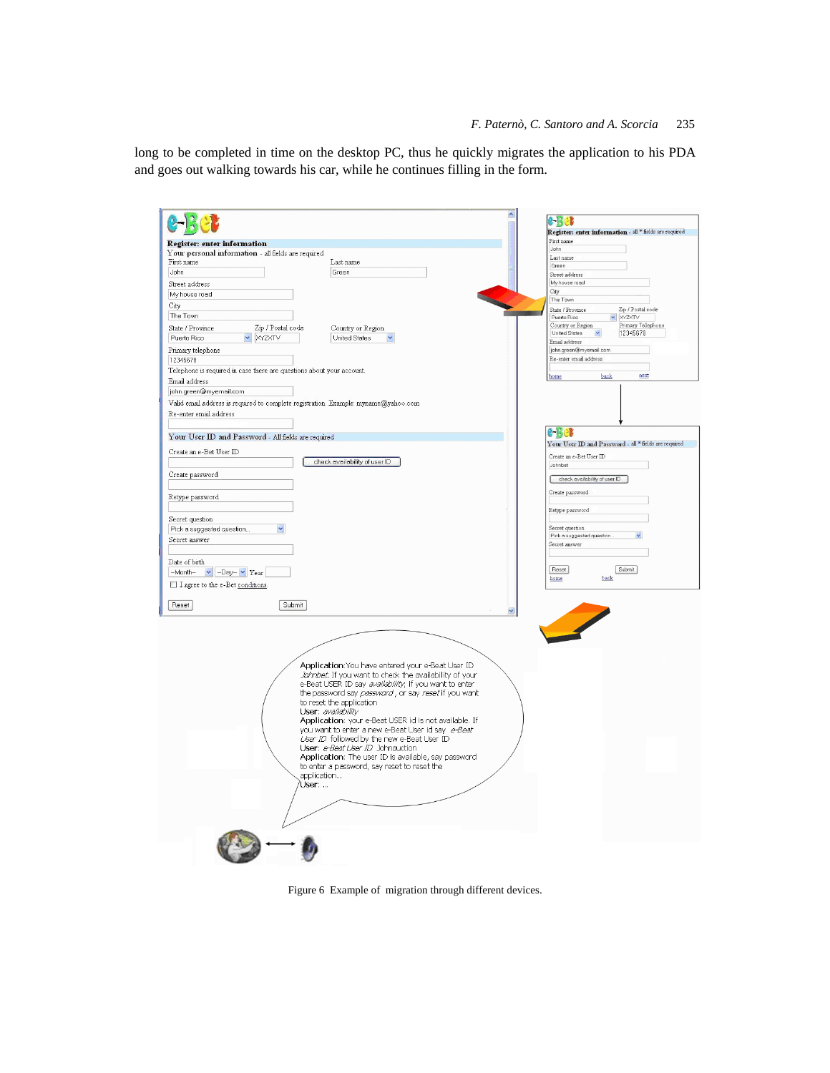long to be completed in time on the desktop PC, thus he quickly migrates the application to his PDA and goes out walking towards his car, while he continues filling in the form.

|                                                                                     | 2-12 C                                                  |
|-------------------------------------------------------------------------------------|---------------------------------------------------------|
|                                                                                     | Register: enter information - all * fields are required |
| Register: enter information                                                         | First name                                              |
| Your personal information - all fields are required                                 | John<br>Last name                                       |
| First name<br>Last name                                                             | Green                                                   |
| John<br>Green                                                                       | Street address                                          |
| Street address                                                                      | My house road                                           |
| My house road                                                                       | City                                                    |
| City                                                                                | The Town<br>State / Province                            |
| The Town                                                                            | Zip / Postal code<br>XYZXTV<br>Puerto Rico              |
| Zip / Postal code<br>State / Province<br>Country or Region                          | Primary Telephone<br>Country or Region                  |
| Puerto Rico<br>XYZXTV<br><b>United States</b>                                       | United States<br>12345678                               |
| Primary telephone                                                                   | Email address<br>john.green@myemail.com                 |
| 12345678                                                                            | Re-enter email address                                  |
| Telephone is required in case there are questions about your account.               |                                                         |
| Email address                                                                       | back<br>next<br>home                                    |
| john.green@myemail.com                                                              |                                                         |
|                                                                                     |                                                         |
| Valid email address is required to complete registration. Example: myname@yahoo.com |                                                         |
| Re-enter email address                                                              |                                                         |
|                                                                                     | e-Bel                                                   |
| Your User ID and Password - All fields are required                                 | Your User ID and Password - all * fields are required   |
| Create an e-Bet User ID                                                             |                                                         |
| check availability of user ID                                                       | Create an e-Bet User ID                                 |
|                                                                                     | Johnbet                                                 |
| Create password                                                                     | check availability of user ID                           |
|                                                                                     | Create password                                         |
| Retype password                                                                     |                                                         |
|                                                                                     | Retype password                                         |
| Secret question                                                                     |                                                         |
| Pick a suggested question<br>$\checkmark$                                           | Secret question<br>Pick a suggested question.           |
| Secret answer                                                                       | Secret answer                                           |
|                                                                                     |                                                         |
| Date of birth                                                                       |                                                         |
| -Month- v -Day- v Year                                                              | Reset<br>Submit                                         |
| I agree to the e-Bet conditions.                                                    | home<br>back                                            |
|                                                                                     |                                                         |
| Reset<br>Submit                                                                     |                                                         |
|                                                                                     |                                                         |
|                                                                                     |                                                         |
|                                                                                     |                                                         |
|                                                                                     |                                                         |
|                                                                                     |                                                         |
| Application: You have entered your e-Beat User ID                                   |                                                         |
| Johnber. If you want to check the availability of your                              |                                                         |
| e-Beat USER ID say availability; if you want to enter                               |                                                         |
| the password say password, or say reset if you want                                 |                                                         |
| to reset the application<br>User: availability                                      |                                                         |
| Application: your e-Beat USER id is not available. If                               |                                                         |
| you want to enter a new e-Beat User id say e-Beat                                   |                                                         |
| User ID followed by the new e-Beat User ID                                          |                                                         |
| User: e-Beat User ID Johnauction                                                    |                                                         |
| Application: The user ID is available, say password                                 |                                                         |
| to enter a password, say reset to reset the                                         |                                                         |
| application                                                                         |                                                         |
| User:                                                                               |                                                         |
|                                                                                     |                                                         |
|                                                                                     |                                                         |
|                                                                                     |                                                         |
|                                                                                     |                                                         |
|                                                                                     |                                                         |
|                                                                                     |                                                         |
|                                                                                     |                                                         |

Figure 6 Example of migration through different devices.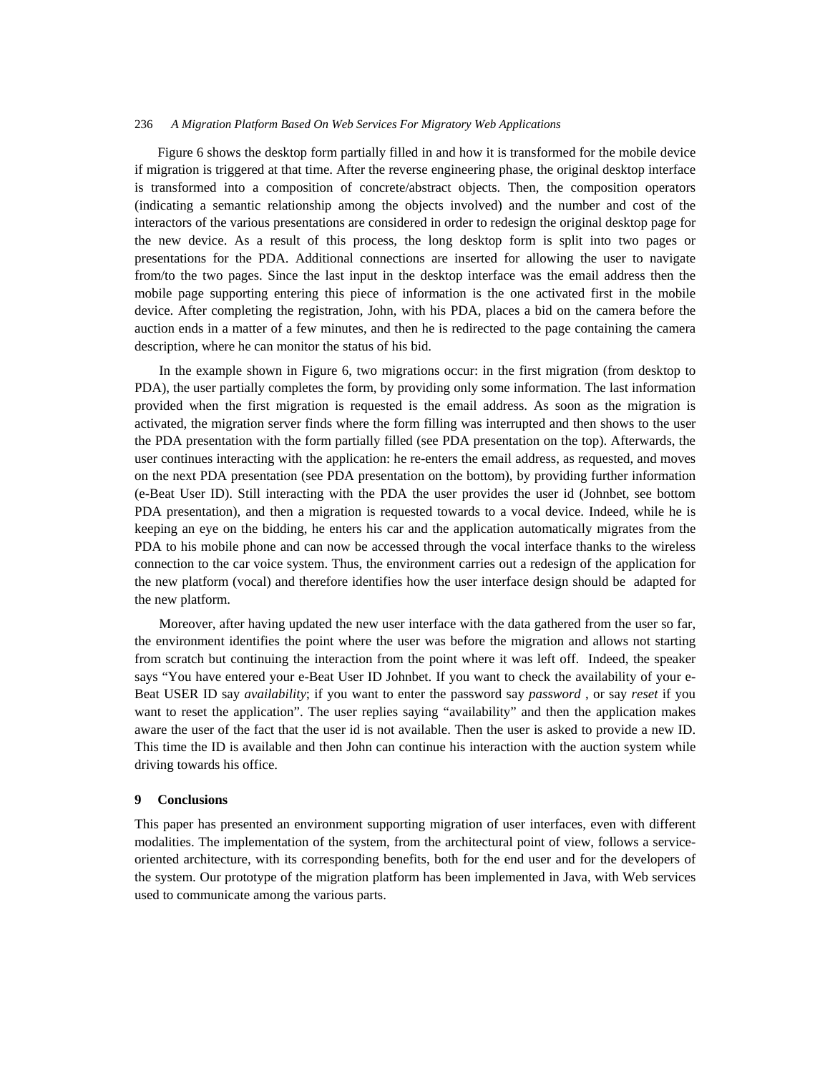Figure 6 shows the desktop form partially filled in and how it is transformed for the mobile device if migration is triggered at that time. After the reverse engineering phase, the original desktop interface is transformed into a composition of concrete/abstract objects. Then, the composition operators (indicating a semantic relationship among the objects involved) and the number and cost of the interactors of the various presentations are considered in order to redesign the original desktop page for the new device. As a result of this process, the long desktop form is split into two pages or presentations for the PDA. Additional connections are inserted for allowing the user to navigate from/to the two pages. Since the last input in the desktop interface was the email address then the mobile page supporting entering this piece of information is the one activated first in the mobile device. After completing the registration, John, with his PDA, places a bid on the camera before the auction ends in a matter of a few minutes, and then he is redirected to the page containing the camera description, where he can monitor the status of his bid.

In the example shown in Figure 6, two migrations occur: in the first migration (from desktop to PDA), the user partially completes the form, by providing only some information. The last information provided when the first migration is requested is the email address. As soon as the migration is activated, the migration server finds where the form filling was interrupted and then shows to the user the PDA presentation with the form partially filled (see PDA presentation on the top). Afterwards, the user continues interacting with the application: he re-enters the email address, as requested, and moves on the next PDA presentation (see PDA presentation on the bottom), by providing further information (e-Beat User ID). Still interacting with the PDA the user provides the user id (Johnbet, see bottom PDA presentation), and then a migration is requested towards to a vocal device. Indeed, while he is keeping an eye on the bidding, he enters his car and the application automatically migrates from the PDA to his mobile phone and can now be accessed through the vocal interface thanks to the wireless connection to the car voice system. Thus, the environment carries out a redesign of the application for the new platform (vocal) and therefore identifies how the user interface design should be adapted for the new platform.

Moreover, after having updated the new user interface with the data gathered from the user so far, the environment identifies the point where the user was before the migration and allows not starting from scratch but continuing the interaction from the point where it was left off. Indeed, the speaker says "You have entered your e-Beat User ID Johnbet. If you want to check the availability of your e-Beat USER ID say *availability*; if you want to enter the password say *password* , or say *reset* if you want to reset the application". The user replies saying "availability" and then the application makes aware the user of the fact that the user id is not available. Then the user is asked to provide a new ID. This time the ID is available and then John can continue his interaction with the auction system while driving towards his office.

#### **9 Conclusions**

This paper has presented an environment supporting migration of user interfaces, even with different modalities. The implementation of the system, from the architectural point of view, follows a serviceoriented architecture, with its corresponding benefits, both for the end user and for the developers of the system. Our prototype of the migration platform has been implemented in Java, with Web services used to communicate among the various parts.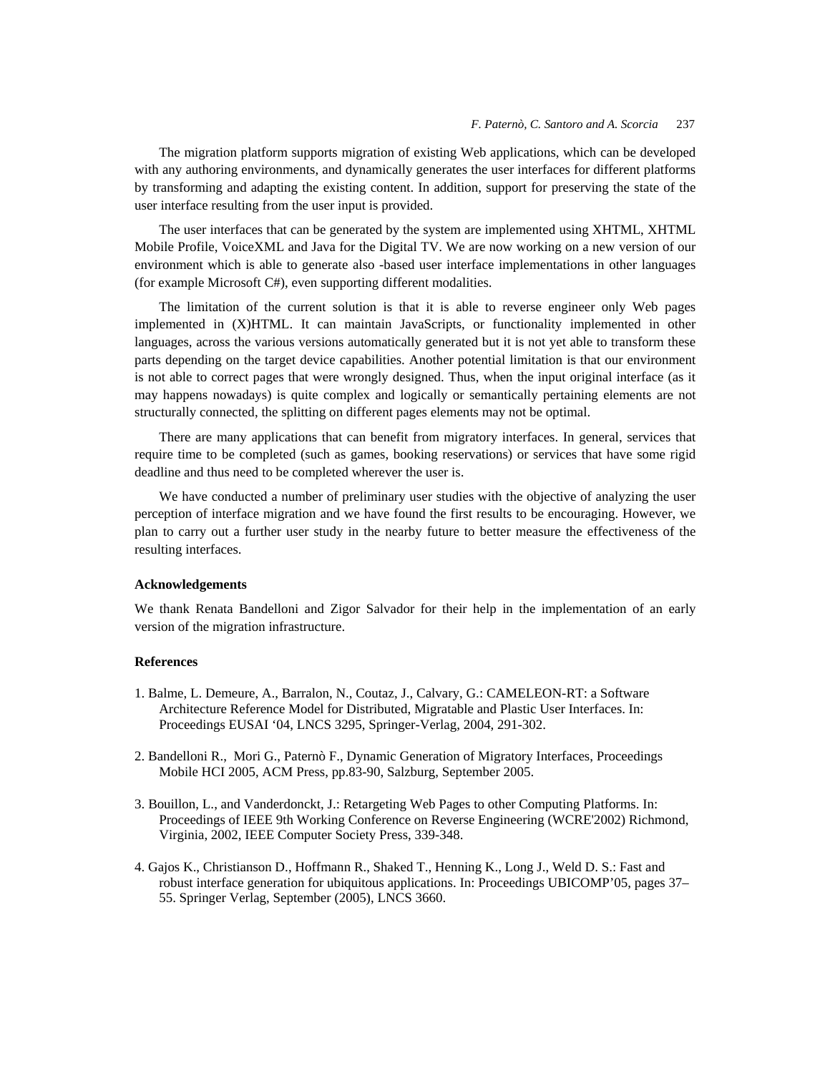The migration platform supports migration of existing Web applications, which can be developed with any authoring environments, and dynamically generates the user interfaces for different platforms by transforming and adapting the existing content. In addition, support for preserving the state of the user interface resulting from the user input is provided.

The user interfaces that can be generated by the system are implemented using XHTML, XHTML Mobile Profile, VoiceXML and Java for the Digital TV. We are now working on a new version of our environment which is able to generate also -based user interface implementations in other languages (for example Microsoft C#), even supporting different modalities.

The limitation of the current solution is that it is able to reverse engineer only Web pages implemented in (X)HTML. It can maintain JavaScripts, or functionality implemented in other languages, across the various versions automatically generated but it is not yet able to transform these parts depending on the target device capabilities. Another potential limitation is that our environment is not able to correct pages that were wrongly designed. Thus, when the input original interface (as it may happens nowadays) is quite complex and logically or semantically pertaining elements are not structurally connected, the splitting on different pages elements may not be optimal.

There are many applications that can benefit from migratory interfaces. In general, services that require time to be completed (such as games, booking reservations) or services that have some rigid deadline and thus need to be completed wherever the user is.

We have conducted a number of preliminary user studies with the objective of analyzing the user perception of interface migration and we have found the first results to be encouraging. However, we plan to carry out a further user study in the nearby future to better measure the effectiveness of the resulting interfaces.

## **Acknowledgements**

We thank Renata Bandelloni and Zigor Salvador for their help in the implementation of an early version of the migration infrastructure.

# **References**

- 1. Balme, L. Demeure, A., Barralon, N., Coutaz, J., Calvary, G.: CAMELEON-RT: a Software Architecture Reference Model for Distributed, Migratable and Plastic User Interfaces. In: Proceedings EUSAI '04, LNCS 3295, Springer-Verlag, 2004, 291-302.
- 2. Bandelloni R., Mori G., Paternò F., Dynamic Generation of Migratory Interfaces, Proceedings Mobile HCI 2005, ACM Press, pp.83-90, Salzburg, September 2005.
- 3. Bouillon, L., and Vanderdonckt, J.: Retargeting Web Pages to other Computing Platforms. In: Proceedings of IEEE 9th Working Conference on Reverse Engineering (WCRE'2002) Richmond, Virginia, 2002, IEEE Computer Society Press, 339-348.
- 4. Gajos K., Christianson D., Hoffmann R., Shaked T., Henning K., Long J., Weld D. S.: Fast and robust interface generation for ubiquitous applications. In: Proceedings UBICOMP'05, pages 37– 55. Springer Verlag, September (2005), LNCS 3660.